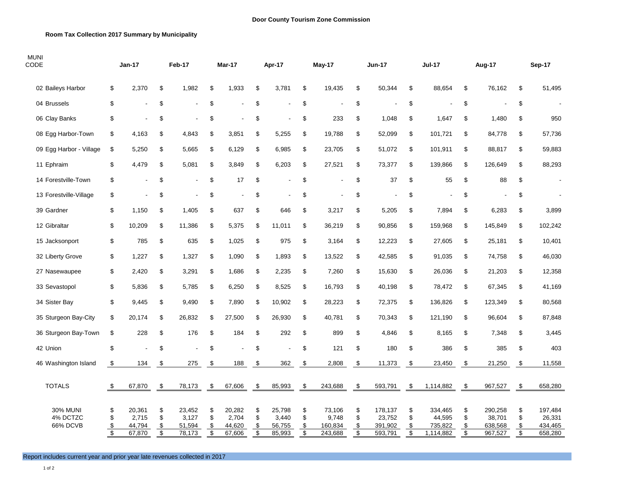## **Room Tax Collection 2017 Summary by Municipality**

| <b>MUNI</b><br>CODE                            |                                           | <b>Jan-17</b>                       |                                            | Feb-17                              |                                           | Mar-17                              |                                           | Apr-17                              |                                           | May-17                                |                                           | <b>Jun-17</b>                           |                                            | <b>Jul-17</b>                             |                                            | Aug-17                                  |                                           | Sep-17                                  |
|------------------------------------------------|-------------------------------------------|-------------------------------------|--------------------------------------------|-------------------------------------|-------------------------------------------|-------------------------------------|-------------------------------------------|-------------------------------------|-------------------------------------------|---------------------------------------|-------------------------------------------|-----------------------------------------|--------------------------------------------|-------------------------------------------|--------------------------------------------|-----------------------------------------|-------------------------------------------|-----------------------------------------|
| 02 Baileys Harbor                              | \$                                        | 2,370                               | \$                                         | 1,982                               | \$                                        | 1,933                               | \$                                        | 3,781                               | \$                                        | 19,435                                | \$                                        | 50,344                                  | \$                                         | 88,654                                    | \$                                         | 76,162                                  | \$                                        | 51,495                                  |
| 04 Brussels                                    | \$                                        |                                     | \$                                         |                                     | \$                                        |                                     | \$                                        |                                     | \$                                        |                                       | \$                                        |                                         | \$                                         |                                           | \$                                         |                                         | \$                                        |                                         |
| 06 Clay Banks                                  | \$                                        |                                     | \$                                         |                                     | \$                                        |                                     | \$                                        |                                     | \$                                        | 233                                   | \$                                        | 1,048                                   | \$                                         | 1,647                                     | \$                                         | 1,480                                   | \$                                        | 950                                     |
| 08 Egg Harbor-Town                             | \$                                        | 4,163                               | \$                                         | 4,843                               | \$                                        | 3,851                               | \$                                        | 5,255                               | \$                                        | 19,788                                | \$                                        | 52,099                                  | \$                                         | 101,721                                   | \$                                         | 84,778                                  | \$                                        | 57,736                                  |
| 09 Egg Harbor - Village                        | \$                                        | 5,250                               | \$                                         | 5,665                               | \$                                        | 6,129                               | \$                                        | 6,985                               | \$                                        | 23,705                                | \$                                        | 51,072                                  | \$                                         | 101,911                                   | \$                                         | 88,817                                  | \$                                        | 59,883                                  |
| 11 Ephraim                                     | \$                                        | 4,479                               | \$                                         | 5,081                               | \$                                        | 3,849                               | \$                                        | 6,203                               | \$                                        | 27,521                                | \$                                        | 73,377                                  | \$                                         | 139,866                                   | \$                                         | 126,649                                 | \$                                        | 88,293                                  |
| 14 Forestville-Town                            | \$                                        |                                     | \$                                         |                                     | \$                                        | 17                                  | \$                                        | $\overline{\phantom{a}}$            | \$                                        |                                       | \$                                        | 37                                      | \$                                         | 55                                        | \$                                         | 88                                      | \$                                        | $\blacksquare$                          |
| 13 Forestville-Village                         | \$                                        |                                     | \$                                         |                                     | \$                                        |                                     | \$                                        |                                     | \$                                        |                                       | \$                                        |                                         | \$                                         |                                           | \$                                         |                                         | \$                                        |                                         |
| 39 Gardner                                     | \$                                        | 1,150                               | \$                                         | 1,405                               | \$                                        | 637                                 | \$                                        | 646                                 | \$                                        | 3,217                                 | \$                                        | 5,205                                   | \$                                         | 7,894                                     | \$                                         | 6,283                                   | \$                                        | 3,899                                   |
| 12 Gibraltar                                   | \$                                        | 10,209                              | \$                                         | 11,386                              | \$                                        | 5,375                               | \$                                        | 11,011                              | \$                                        | 36,219                                | \$                                        | 90,856                                  | \$                                         | 159,968                                   | \$                                         | 145,849                                 | \$                                        | 102,242                                 |
| 15 Jacksonport                                 | \$                                        | 785                                 | \$                                         | 635                                 | \$                                        | 1,025                               | \$                                        | 975                                 | \$                                        | 3,164                                 | \$                                        | 12,223                                  | \$                                         | 27,605                                    | \$                                         | 25,181                                  | \$                                        | 10,401                                  |
| 32 Liberty Grove                               | \$                                        | 1,227                               | \$                                         | 1,327                               | \$                                        | 1,090                               | \$                                        | 1,893                               | \$                                        | 13,522                                | \$                                        | 42,585                                  | \$                                         | 91,035                                    | \$                                         | 74,758                                  | \$                                        | 46,030                                  |
| 27 Nasewaupee                                  | \$                                        | 2,420                               | \$                                         | 3,291                               | \$                                        | 1,686                               | \$                                        | 2,235                               | \$                                        | 7,260                                 | \$                                        | 15,630                                  | \$                                         | 26,036                                    | \$                                         | 21,203                                  | \$                                        | 12,358                                  |
| 33 Sevastopol                                  | \$                                        | 5,836                               | \$                                         | 5,785                               | \$                                        | 6,250                               | \$                                        | 8,525                               | \$                                        | 16,793                                | \$                                        | 40,198                                  | \$                                         | 78,472                                    | \$                                         | 67,345                                  | \$                                        | 41,169                                  |
| 34 Sister Bay                                  | \$                                        | 9,445                               | \$                                         | 9,490                               | \$                                        | 7,890                               | \$                                        | 10,902                              | \$                                        | 28,223                                | \$                                        | 72,375                                  | \$                                         | 136,826                                   | \$                                         | 123,349                                 | \$                                        | 80,568                                  |
| 35 Sturgeon Bay-City                           | \$                                        | 20,174                              | \$                                         | 26,832                              | \$                                        | 27,500                              | \$                                        | 26,930                              | \$                                        | 40,781                                | \$                                        | 70,343                                  | \$                                         | 121,190                                   | \$                                         | 96,604                                  | \$                                        | 87,848                                  |
| 36 Sturgeon Bay-Town                           | \$                                        | 228                                 | \$                                         | 176                                 | \$                                        | 184                                 | \$                                        | 292                                 | \$                                        | 899                                   | \$                                        | 4,846                                   | \$                                         | 8,165                                     | \$                                         | 7,348                                   | \$                                        | 3,445                                   |
| 42 Union                                       | \$                                        |                                     | \$                                         |                                     | \$                                        |                                     | \$                                        | $\blacksquare$                      | \$                                        | 121                                   | \$                                        | 180                                     | \$                                         | 386                                       | \$                                         | 385                                     | \$                                        | 403                                     |
| 46 Washington Island                           | \$                                        | 134                                 | \$                                         | 275                                 | - \$                                      | 188                                 | - \$                                      | 362                                 | \$                                        | 2,808                                 | $\sqrt{3}$                                | 11,373                                  | \$                                         | 23,450                                    | \$                                         | 21,250                                  | \$                                        | 11,558                                  |
|                                                |                                           |                                     |                                            |                                     |                                           |                                     |                                           |                                     |                                           |                                       |                                           |                                         |                                            |                                           |                                            |                                         |                                           |                                         |
| <b>TOTALS</b>                                  | -\$                                       | 67,870                              | \$                                         | 78,173                              | \$                                        | 67,606                              | \$                                        | 85,993                              | \$                                        | 243,688                               | \$                                        | 593,791                                 | \$                                         | 1,114,882                                 | - \$                                       | 967,527                                 | \$                                        | 658,280                                 |
| <b>30% MUNI</b><br>4% DCTZC<br><b>66% DCVB</b> | \$<br>\$<br>\$<br>$\overline{\mathbf{s}}$ | 20,361<br>2,715<br>44,794<br>67,870 | \$<br>\$<br>\$<br>$\overline{\mathcal{S}}$ | 23,452<br>3,127<br>51,594<br>78,173 | \$<br>\$<br>\$<br>$\overline{\mathbb{S}}$ | 20,282<br>2,704<br>44,620<br>67,606 | \$<br>\$<br>\$<br>$\overline{\mathbb{S}}$ | 25,798<br>3,440<br>56,755<br>85,993 | \$<br>\$<br>\$<br>$\overline{\mathbf{S}}$ | 73,106<br>9,748<br>160,834<br>243,688 | \$<br>\$<br>\$<br>$\overline{\mathbf{s}}$ | 178,137<br>23,752<br>391,902<br>593,791 | \$<br>\$<br>\$<br>$\overline{\mathcal{S}}$ | 334,465<br>44,595<br>735,822<br>1,114,882 | \$<br>\$<br>\$<br>$\overline{\mathcal{E}}$ | 290,258<br>38,701<br>638,568<br>967,527 | \$<br>\$<br>\$<br>$\overline{\mathbf{S}}$ | 197,484<br>26,331<br>434,465<br>658,280 |